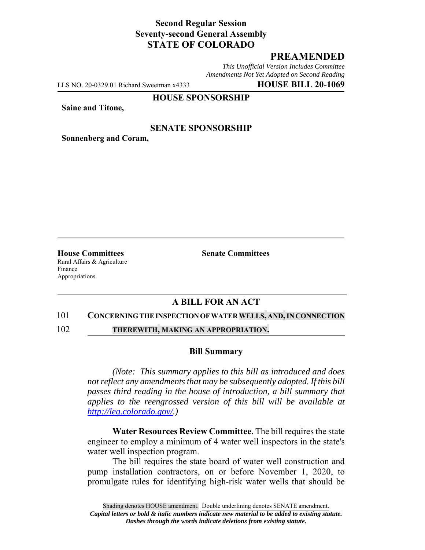# **Second Regular Session Seventy-second General Assembly STATE OF COLORADO**

# **PREAMENDED**

*This Unofficial Version Includes Committee Amendments Not Yet Adopted on Second Reading*

LLS NO. 20-0329.01 Richard Sweetman x4333 **HOUSE BILL 20-1069**

### **HOUSE SPONSORSHIP**

**Saine and Titone,**

### **SENATE SPONSORSHIP**

**Sonnenberg and Coram,**

Rural Affairs & Agriculture Finance Appropriations

**House Committees Senate Committees** 

## **A BILL FOR AN ACT**

#### 101 **CONCERNING THE INSPECTION OF WATER WELLS, AND,IN CONNECTION**

102 **THEREWITH, MAKING AN APPROPRIATION.**

#### **Bill Summary**

*(Note: This summary applies to this bill as introduced and does not reflect any amendments that may be subsequently adopted. If this bill passes third reading in the house of introduction, a bill summary that applies to the reengrossed version of this bill will be available at http://leg.colorado.gov/.)*

**Water Resources Review Committee.** The bill requires the state engineer to employ a minimum of 4 water well inspectors in the state's water well inspection program.

The bill requires the state board of water well construction and pump installation contractors, on or before November 1, 2020, to promulgate rules for identifying high-risk water wells that should be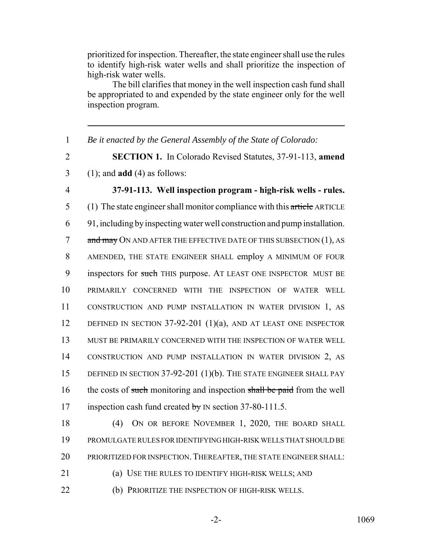prioritized for inspection. Thereafter, the state engineer shall use the rules to identify high-risk water wells and shall prioritize the inspection of high-risk water wells.

The bill clarifies that money in the well inspection cash fund shall be appropriated to and expended by the state engineer only for the well inspection program.

 *Be it enacted by the General Assembly of the State of Colorado:* **SECTION 1.** In Colorado Revised Statutes, 37-91-113, **amend** (1); and **add** (4) as follows: **37-91-113. Well inspection program - high-risk wells - rules.** (1) The state engineer shall monitor compliance with this article ARTICLE 91, including by inspecting water well construction and pump installation. 7 and may ON AND AFTER THE EFFECTIVE DATE OF THIS SUBSECTION (1), AS AMENDED, THE STATE ENGINEER SHALL employ A MINIMUM OF FOUR 9 inspectors for such THIS purpose. AT LEAST ONE INSPECTOR MUST BE PRIMARILY CONCERNED WITH THE INSPECTION OF WATER WELL CONSTRUCTION AND PUMP INSTALLATION IN WATER DIVISION 1, AS 12 DEFINED IN SECTION 37-92-201 (1)(a), AND AT LEAST ONE INSPECTOR MUST BE PRIMARILY CONCERNED WITH THE INSPECTION OF WATER WELL CONSTRUCTION AND PUMP INSTALLATION IN WATER DIVISION 2, AS 15 DEFINED IN SECTION 37-92-201 (1)(b). THE STATE ENGINEER SHALL PAY 16 the costs of such monitoring and inspection shall be paid from the well 17 inspection cash fund created by IN section 37-80-111.5.

18 (4) ON OR BEFORE NOVEMBER 1, 2020, THE BOARD SHALL 19 PROMULGATE RULES FOR IDENTIFYING HIGH-RISK WELLS THAT SHOULD BE 20 PRIORITIZED FOR INSPECTION. THEREAFTER, THE STATE ENGINEER SHALL:

21 (a) USE THE RULES TO IDENTIFY HIGH-RISK WELLS; AND

22 (b) PRIORITIZE THE INSPECTION OF HIGH-RISK WELLS.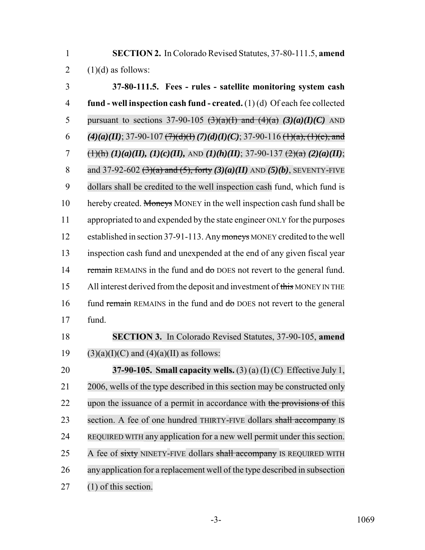1 **SECTION 2.** In Colorado Revised Statutes, 37-80-111.5, **amend** 2  $(1)(d)$  as follows:

3 **37-80-111.5. Fees - rules - satellite monitoring system cash** 4 **fund - well inspection cash fund - created.** (1) (d) Of each fee collected 5 pursuant to sections 37-90-105  $\left(\frac{3}{a}\right)(\frac{a}{1})$  and  $\left(\frac{4}{a}\right)(\frac{a}{a})(I)(C)$  AND 6 *(4)(a)(II)*; 37-90-107  $\left(\frac{7}{d}(d)(f)(7)(d)(f)(C)\right)$ ; 37-90-116  $\left(\frac{1}{a}, \frac{1}{c}\right)$ , and 7 (1)(h) *(1)(a)(II), (1)(c)(II), AND (1)(h)(II)*; 37-90-137 (2)(a) *(II)*; 7*(a) (II)*; 8 and 37-92-602 (3)(a) and (5), forty *(3)(a)(II)* AND *(5)(b)*, SEVENTY-FIVE 9 dollars shall be credited to the well inspection cash fund, which fund is 10 hereby created. Moneys MONEY in the well inspection cash fund shall be 11 appropriated to and expended by the state engineer ONLY for the purposes 12 established in section 37-91-113. Any moneys MONEY credited to the well 13 inspection cash fund and unexpended at the end of any given fiscal year 14 remain REMAINS in the fund and do DOES not revert to the general fund. 15 All interest derived from the deposit and investment of this MONEY IN THE 16 fund remain REMAINS in the fund and do DOES not revert to the general 17 fund. 18 **SECTION 3.** In Colorado Revised Statutes, 37-90-105, **amend**

19 (3)(a)(I)(C) and (4)(a)(II) as follows:

20 **37-90-105. Small capacity wells.** (3) (a) (I) (C) Effective July 1, 21 2006, wells of the type described in this section may be constructed only 22 upon the issuance of a permit in accordance with the provisions of this 23 section. A fee of one hundred THIRTY-FIVE dollars shall accompany IS 24 REQUIRED WITH any application for a new well permit under this section. 25 A fee of sixty NINETY-FIVE dollars shall accompany IS REQUIRED WITH 26 any application for a replacement well of the type described in subsection 27 (1) of this section.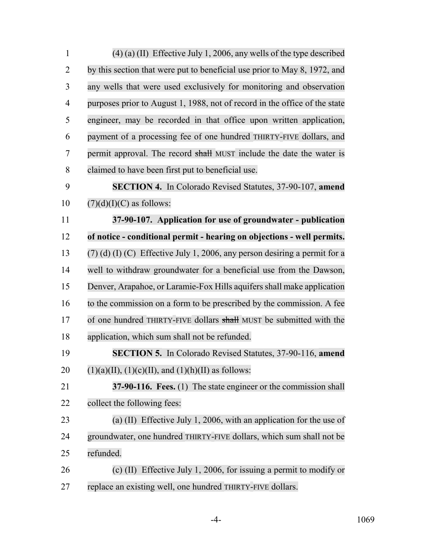| $\mathbf{1}$   | $(4)$ (a) (II) Effective July 1, 2006, any wells of the type described       |
|----------------|------------------------------------------------------------------------------|
| $\overline{2}$ | by this section that were put to beneficial use prior to May 8, 1972, and    |
| 3              | any wells that were used exclusively for monitoring and observation          |
| $\overline{4}$ | purposes prior to August 1, 1988, not of record in the office of the state   |
| 5              | engineer, may be recorded in that office upon written application,           |
| 6              | payment of a processing fee of one hundred THIRTY-FIVE dollars, and          |
| 7              | permit approval. The record shall MUST include the date the water is         |
| $8\,$          | claimed to have been first put to beneficial use.                            |
| 9              | <b>SECTION 4.</b> In Colorado Revised Statutes, 37-90-107, amend             |
| 10             | $(7)(d)(I)(C)$ as follows:                                                   |
| 11             | 37-90-107. Application for use of groundwater - publication                  |
| 12             | of notice - conditional permit - hearing on objections - well permits.       |
| 13             | $(7)$ (d) (I) (C) Effective July 1, 2006, any person desiring a permit for a |
| 14             | well to withdraw groundwater for a beneficial use from the Dawson,           |
| 15             | Denver, Arapahoe, or Laramie-Fox Hills aquifers shall make application       |
| 16             | to the commission on a form to be prescribed by the commission. A fee        |
| 17             | of one hundred THIRTY-FIVE dollars shall MUST be submitted with the          |
| 18             | application, which sum shall not be refunded.                                |
| 19             | SECTION 5. In Colorado Revised Statutes, 37-90-116, amend                    |
| 20             | $(1)(a)(II), (1)(c)(II), and (1)(h)(II)$ as follows:                         |
| 21             | 37-90-116. Fees. (1) The state engineer or the commission shall              |
| 22             | collect the following fees:                                                  |
| 23             | (a) (II) Effective July 1, 2006, with an application for the use of          |
| 24             | groundwater, one hundred THIRTY-FIVE dollars, which sum shall not be         |
| 25             | refunded.                                                                    |
| 26             | (c) (II) Effective July 1, 2006, for issuing a permit to modify or           |
| 27             | replace an existing well, one hundred THIRTY-FIVE dollars.                   |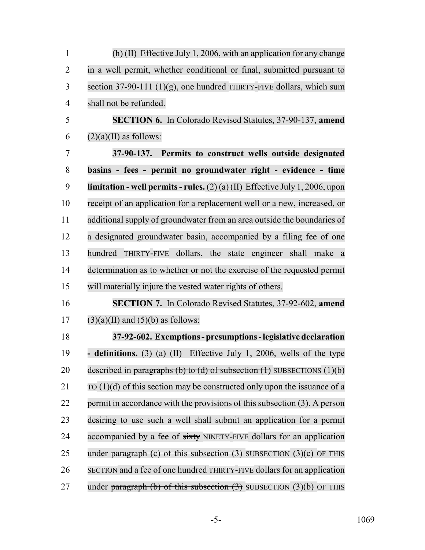| $\mathbf{1}$   | (h) (II) Effective July 1, 2006, with an application for any change               |
|----------------|-----------------------------------------------------------------------------------|
| $\overline{2}$ | in a well permit, whether conditional or final, submitted pursuant to             |
| 3              | section 37-90-111 $(1)(g)$ , one hundred THIRTY-FIVE dollars, which sum           |
| $\overline{4}$ | shall not be refunded.                                                            |
| 5              | <b>SECTION 6.</b> In Colorado Revised Statutes, 37-90-137, amend                  |
| 6              | $(2)(a)(II)$ as follows:                                                          |
| $\overline{7}$ | 37-90-137. Permits to construct wells outside designated                          |
| 8              | basins - fees - permit no groundwater right - evidence - time                     |
| 9              | <b>limitation - well permits - rules.</b> (2)(a)(II) Effective July 1, 2006, upon |
| 10             | receipt of an application for a replacement well or a new, increased, or          |
| 11             | additional supply of groundwater from an area outside the boundaries of           |
| 12             | a designated groundwater basin, accompanied by a filing fee of one                |
| 13             | hundred THIRTY-FIVE dollars, the state engineer shall make a                      |
| 14             | determination as to whether or not the exercise of the requested permit           |
| 15             | will materially injure the vested water rights of others.                         |
| 16             | <b>SECTION 7.</b> In Colorado Revised Statutes, 37-92-602, amend                  |
| 17             | $(3)(a)(II)$ and $(5)(b)$ as follows:                                             |
| 18             | 37-92-602. Exemptions-presumptions-legislative declaration                        |
| 19             | - definitions. (3) (a) (II) Effective July 1, 2006, wells of the type             |
| 20             | described in paragraphs (b) to (d) of subsection $(1)$ SUBSECTIONS $(1)(b)$       |
| 21             | TO $(1)(d)$ of this section may be constructed only upon the issuance of a        |
| 22             | permit in accordance with the provisions of this subsection (3). A person         |
| 23             | desiring to use such a well shall submit an application for a permit              |
| 24             | accompanied by a fee of sixty NINETY-FIVE dollars for an application              |
| 25             | under paragraph (c) of this subsection $(3)$ SUBSECTION $(3)(c)$ OF THIS          |
| 26             | SECTION and a fee of one hundred THIRTY-FIVE dollars for an application           |
| 27             | under paragraph (b) of this subsection $(3)$ SUBSECTION $(3)(b)$ OF THIS          |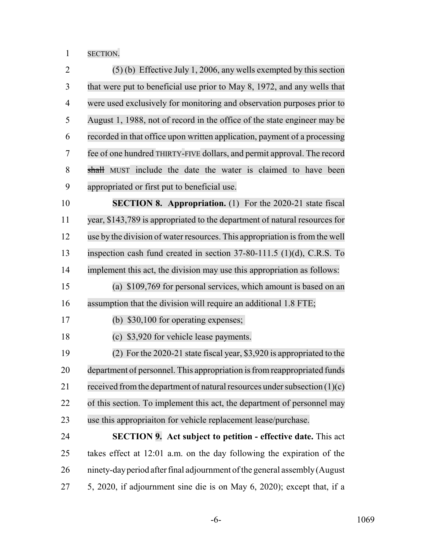SECTION.

 (5) (b) Effective July 1, 2006, any wells exempted by this section that were put to beneficial use prior to May 8, 1972, and any wells that were used exclusively for monitoring and observation purposes prior to August 1, 1988, not of record in the office of the state engineer may be recorded in that office upon written application, payment of a processing fee of one hundred THIRTY-FIVE dollars, and permit approval. The record 8 shall MUST include the date the water is claimed to have been appropriated or first put to beneficial use. **SECTION 8. Appropriation.** (1) For the 2020-21 state fiscal year, \$143,789 is appropriated to the department of natural resources for 12 use by the division of water resources. This appropriation is from the well inspection cash fund created in section 37-80-111.5 (1)(d), C.R.S. To implement this act, the division may use this appropriation as follows: (a) \$109,769 for personal services, which amount is based on an assumption that the division will require an additional 1.8 FTE; (b) \$30,100 for operating expenses; (c) \$3,920 for vehicle lease payments. (2) For the 2020-21 state fiscal year, \$3,920 is appropriated to the department of personnel. This appropriation isfromreappropriated funds 21 received from the department of natural resources under subsection  $(1)(c)$  of this section. To implement this act, the department of personnel may use this appropriaiton for vehicle replacement lease/purchase. **SECTION 9. Act subject to petition - effective date.** This act takes effect at 12:01 a.m. on the day following the expiration of the ninety-day period after final adjournment of the general assembly (August 5, 2020, if adjournment sine die is on May 6, 2020); except that, if a